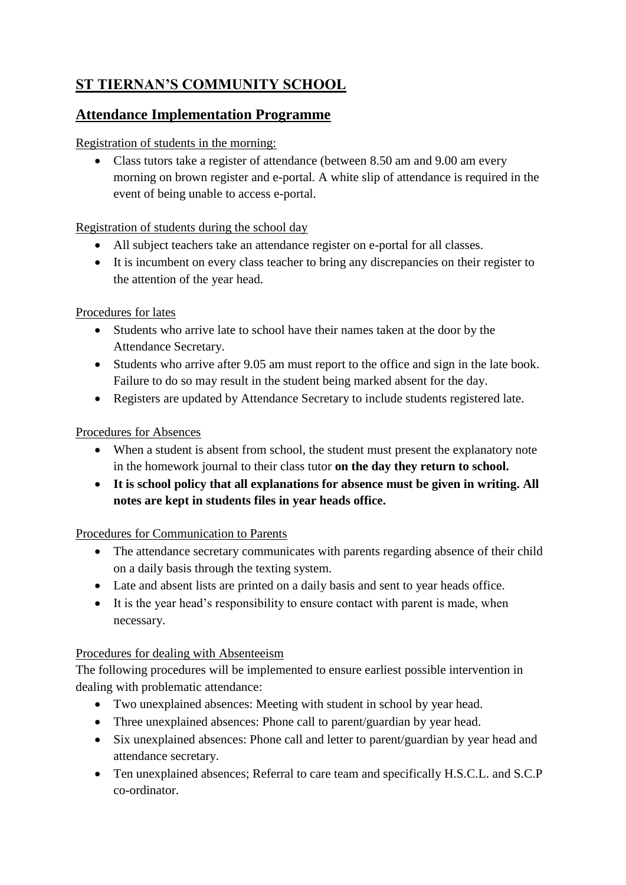# **ST TIERNAN'S COMMUNITY SCHOOL**

# **Attendance Implementation Programme**

#### Registration of students in the morning:

 Class tutors take a register of attendance (between 8.50 am and 9.00 am every morning on brown register and e-portal. A white slip of attendance is required in the event of being unable to access e-portal.

#### Registration of students during the school day

- All subject teachers take an attendance register on e-portal for all classes.
- It is incumbent on every class teacher to bring any discrepancies on their register to the attention of the year head.

#### Procedures for lates

- Students who arrive late to school have their names taken at the door by the Attendance Secretary.
- Students who arrive after 9.05 am must report to the office and sign in the late book. Failure to do so may result in the student being marked absent for the day.
- Registers are updated by Attendance Secretary to include students registered late.

#### Procedures for Absences

- When a student is absent from school, the student must present the explanatory note in the homework journal to their class tutor **on the day they return to school.**
- **It is school policy that all explanations for absence must be given in writing. All notes are kept in students files in year heads office.**

## Procedures for Communication to Parents

- The attendance secretary communicates with parents regarding absence of their child on a daily basis through the texting system.
- Late and absent lists are printed on a daily basis and sent to year heads office.
- It is the year head's responsibility to ensure contact with parent is made, when necessary.

## Procedures for dealing with Absenteeism

The following procedures will be implemented to ensure earliest possible intervention in dealing with problematic attendance:

- Two unexplained absences: Meeting with student in school by year head.
- Three unexplained absences: Phone call to parent/guardian by year head.
- Six unexplained absences: Phone call and letter to parent/guardian by year head and attendance secretary.
- Ten unexplained absences; Referral to care team and specifically H.S.C.L. and S.C.P co-ordinator.